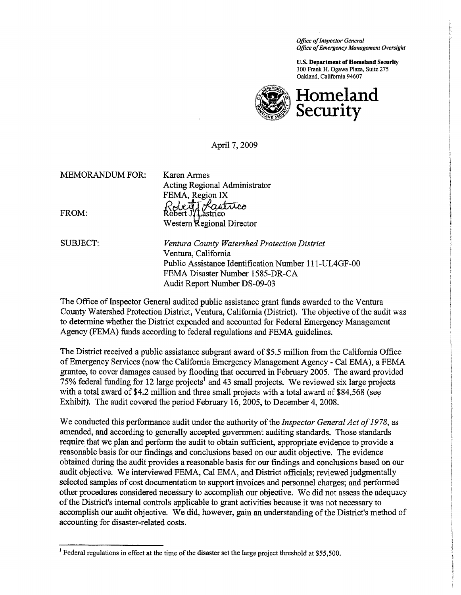Office of Inspector General Office of Emergency Management Oversight

U.S. Department of Homeland Security 300 Frank H. Ogawa Plaza, Suite 275 Oakland, California 94607



Homeland Security

April 7, 2009

MEMORADUM FOR: Karen Armes

Acting Regional Admin<br>
FEMA, Region IX<br>
FROM: Robert J/Lastrico Western Regional Director

Acting Regional Administrator

SUBJECT: *Ventura County Watershed Protection District* Ventura, California Public Assistance Identification Number 111-UL4GF-00 FEMA Disaster Number 1585-DR-CA Audit Report Number DS-09-03

The Office of Inspector General audited public assistance grant funds awarded to the Ventura County Watershed Protection District, Ventura, California (District). The objective of the audit was to determine whether the District expended and accounted for Federal Emergency Management Agency (FEMA) funds according to federal regulations and FEMA guidelines.

The District received a public assistance subgrant award of \$5.5 million from the California Office of Emergency Services (now the California Emergency Management Agency - Cal EMA), a FEMA grantee, to cover damages caused by flooding that occurred in February 2005. The award provided 75% federal funding for 12 large projects<sup>1</sup> and 43 small projects. We reviewed six large projects with a total award of \$4.2 million and three small projects with a total award of \$84,568 (see Exhibit). The audit covered the period February 16, 2005, to December 4, 2008.

We conducted this performance audit under the authority of the *Inspector General Act of 1978*, as amended, and according to generally accepted governent auditing standards. Those standards require that we plan and perform the audit to obtain suffcient, appropriate evidence to provide a reasonable basis for our findings and conclusions based on our audit objective. The evidence obtained during the audit provides a reasonable basis for our findings and conclusions based on our audit objective. We interviewed FEMA, Cal EMA, and District officials; reviewed judgmentally selected samples of cost documentation to support invoices and personnel charges; and performed other procedures considered necessary to accomplish our objective. We did not assess the adequacy of the Distrct's internal controls applicable to grant activities because it was not necessar to accomplish our audit objective. We did, however, gain an understanding of the District's method of accounting for disaster-related costs.

<sup>&</sup>lt;sup>1</sup> Federal regulations in effect at the time of the disaster set the large project threshold at \$55,500.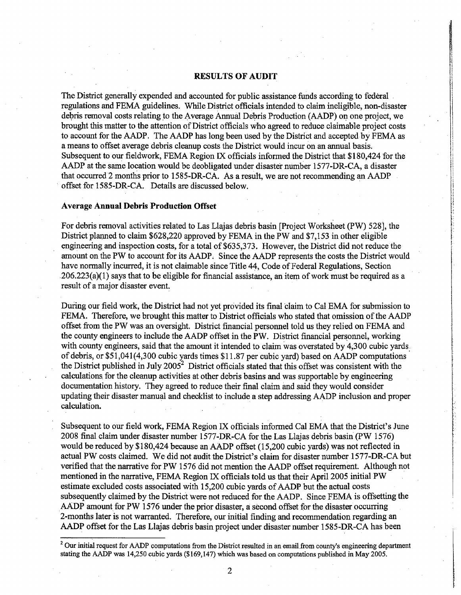### **RESULTS OF AUDIT**

I,'1 ii Ii  $\cdot$ 

¡

i-i

, ; l:1 :'!

"

 $\cdot$ 

I,

The District generally expended and accounted for public assistance funds according to federal regulations and FEMA guidelines. While District officials intended to claim ineligible, non-disaster debris removal costs relating to the Average Annual Debris Production (AADP) on one project, we brought this matter to the attention of District officials who agreed to reduce claimable project costs to account for the AADP. The AADP has long been used by the District and accepted by FEMA as a means to offset average debris cleanup costs the District would incur on an annual basis. Subsequent to our fieldwork, FEMA Region IX officials informed the District that \$180,424 for the AADP at the same location would be deobligated under disaster number 1577-DR-CA, a disaster that occurred 2 months prior to 1585-DR-CA. As a result, we are not recommending an AADP offset for 1585-DR-CA. Details are discussed below. I

#### Average Annual Debris Production Offset

For debris removal activities related to Las Llajas debris basin [Project Worksheet (PW) 528], the District planned to claim \$628,220 approved by FEMA in the PW and \$7,153 in other eligible engineering and inspection costs, for a total of \$635,373. However, the District did not reduce the amount on the PW to account for its AADP; Since the AADP represents the costs the District would have normally incurred, it is not claimable since Title 44, Code of Federal Regulations, Section  $206.223(a)(1)$  says that to be eligible for financial assistance, an item of work must be required as a result of a major disaster event

During our field work, the District had not yet provided its final claim to Cal EMA for submission to FEMA. Therefore, we brought this matter to District officials who stated that omission of the AADP offset from the PW was an oversight. District financial personnel told us they relied on FEMA and the county engineers to include the AADP offset in the PW. District financial personnel, working with county engineers, said that the amount it intended to claim was overstated by 4,300 cubic yards. 1991 - Paul III<br>1991 - Paul III (1991 - Paul III) of debris, or \$51,041(4,300 cubic yards times \$11.87 per cubic yard) based on AADP computations the District published in July 2005<sup>2</sup> District officials stated that this offset was consistent with the calculations for the cleanup activities at other debris basins and was supportable by engineering documentation history. They agreed to reduce their final claim and said they would consider updating their disaster manual and checklist to include a step addressing AADP inclusion and proper calculation.

Subsequent to our field work, FEMA Region IX officials informed Cal EMA that the District's June 2008 final claim under disaster number 1577-DR-CA for the Las Llajas debris basin (pW 1576) would be reduced by \$180,424 because an AADP offset (15,200 cubic yards) was not reflected in actual PW costs claimed. We did not audit the District's claim for disaster number 1577-DR-CA but verified that the narative for PW 1576 did not mention the AADP offset requirement. Although not mentioned in the narative, FEMA Region IX officials told us that their April 2005 initial PW estimate excluded costs associated with 15,200 cubic yards of AADP but the actual costs subsequently claimed by the District were not reduced for the AADP. Since FEMA is offsetting the AADP amount for PW 1576 under the prior disaster, a second offset for the disaster occurring 2-months later is not waranted. Therefore, our initial finding and recommendation regarding an AADP offset for the Las Llajas debris basin project under disaster number 1585-DR-CA has been

<sup>&</sup>lt;sup>2</sup> Our initial request for AADP computations from the District resulted in an email from county's engineering department stating the AAP was 14,250 cubic yards (\$169,147) which was based on computations published in May 2005.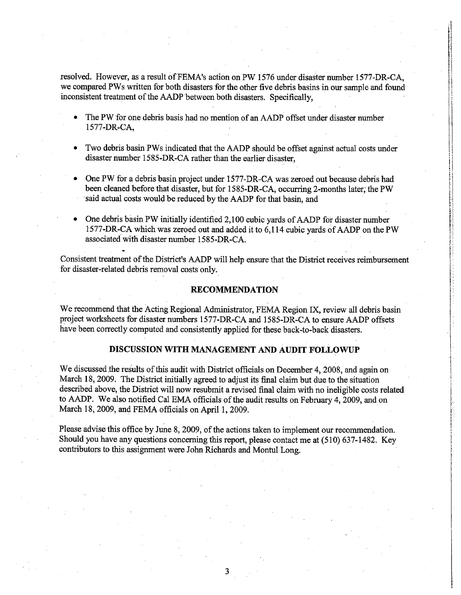resolved. However, as a result of FEMA's action on PW 1576 under disaster number 1577-DR-CA, we compared PWs written for both disasters for the other five debris basins in our sample and found inconsistent treatment of the AADP between both disasters. Specifically,

4  $^{\dagger}$  -,1 i

> ~ .i

> > į

 $\mathbf{1}$ 

~ 1

l:! , ' f:

> i !

~ ¡ ķ.

!

(. '.

- · The PW for one debris basis had no mention of an AADP offset under disaster number 1577-DR-CA,
- Two debris basin PWs indicated that the AADP should be offset against actual costs under disaster number 1585-DR-CA rather than the earlier disaster,
- One PW for a debris basin project under 1577-DR-CA was zeroed out because debris had been cleaned before that disaster, but for 1585-DR-CA, occurring 2-months later; the PW said actual costs would be reduced by the AADP for that basin, and
- One debris basin PW initially identified 2,100 cubic vards of AADP for disaster number 1577-DR-CA which was zeroed out and added it to 6,114 cubic yards of AADP on the PW .., associated with disaster number 1585-DR-CA.

Consistent treatment of the District's AADP will help ensure that the District receives reimbursement for disaster-related debris removal costs only.

#### **RECOMMENDATION**

We recommend that the Acting Regional Administrator, FEMA Region IX, review all debris basin project worksheets for disaster numbers 1577-DR-CA and 1585-DR-CA to ensure AADP offsets have been correctly computed and consistently applied for these back-to-back disasters.

## DISCUSSION WITH MANAGEMENT AND AUDIT FOLLOWUP \

We discussed the results of this audit with District officials on December 4, 2008, and again on March 18, 2009. The District initially agreed to adjust its final claim but due to the situation described above, the District will now resubmit a revised final claim with no ineligible costs related to AADP. We also notified Cal EMA officials of the audit results on February 4, 2009, and on March 18, 2009, and FEMA officials on April 1, 2009.

Please advise this office by June 8, 2009, of the actions taken to implement our recommendation. Should you have any questions concerning this report, please contact me at (510) 637-1482. Key contributors to this assignment were John Richards and Montul Long.

3